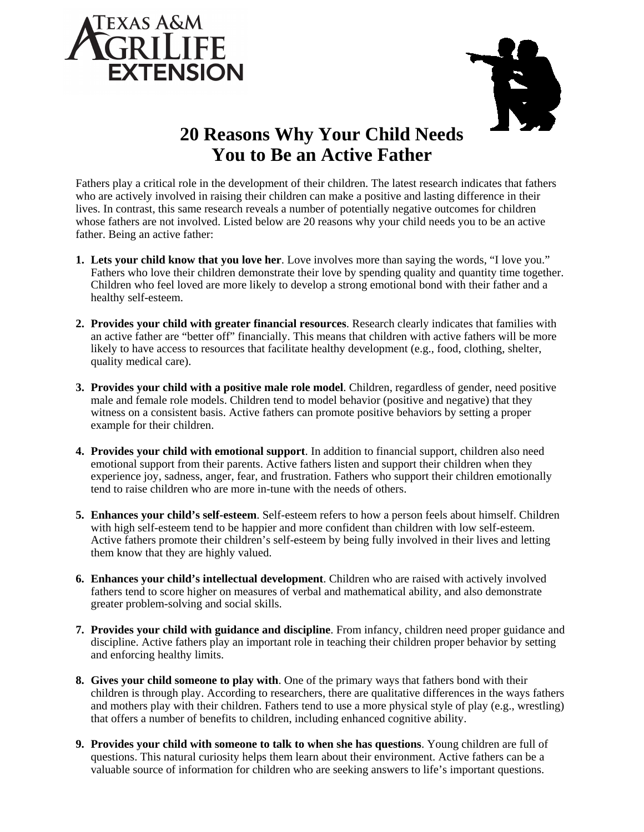



## **20 Reasons Why Your Child Needs You to Be an Active Father**

Fathers play a critical role in the development of their children. The latest research indicates that fathers who are actively involved in raising their children can make a positive and lasting difference in their lives. In contrast, this same research reveals a number of potentially negative outcomes for children whose fathers are not involved. Listed below are 20 reasons why your child needs you to be an active father. Being an active father:

- **1. Lets your child know that you love her**. Love involves more than saying the words, "I love you." Fathers who love their children demonstrate their love by spending quality and quantity time together. Children who feel loved are more likely to develop a strong emotional bond with their father and a healthy self-esteem.
- **2. Provides your child with greater financial resources**. Research clearly indicates that families with an active father are "better off" financially. This means that children with active fathers will be more likely to have access to resources that facilitate healthy development (e.g., food, clothing, shelter, quality medical care).
- **3. Provides your child with a positive male role model**. Children, regardless of gender, need positive male and female role models. Children tend to model behavior (positive and negative) that they witness on a consistent basis. Active fathers can promote positive behaviors by setting a proper example for their children.
- **4. Provides your child with emotional support**. In addition to financial support, children also need emotional support from their parents. Active fathers listen and support their children when they experience joy, sadness, anger, fear, and frustration. Fathers who support their children emotionally tend to raise children who are more in-tune with the needs of others.
- **5. Enhances your child's self-esteem**. Self-esteem refers to how a person feels about himself. Children with high self-esteem tend to be happier and more confident than children with low self-esteem. Active fathers promote their children's self-esteem by being fully involved in their lives and letting them know that they are highly valued.
- **6. Enhances your child's intellectual development**. Children who are raised with actively involved fathers tend to score higher on measures of verbal and mathematical ability, and also demonstrate greater problem-solving and social skills.
- **7. Provides your child with guidance and discipline**. From infancy, children need proper guidance and discipline. Active fathers play an important role in teaching their children proper behavior by setting and enforcing healthy limits.
- **8. Gives your child someone to play with**. One of the primary ways that fathers bond with their children is through play. According to researchers, there are qualitative differences in the ways fathers and mothers play with their children. Fathers tend to use a more physical style of play (e.g., wrestling) that offers a number of benefits to children, including enhanced cognitive ability.
- **9. Provides your child with someone to talk to when she has questions**. Young children are full of questions. This natural curiosity helps them learn about their environment. Active fathers can be a valuable source of information for children who are seeking answers to life's important questions.